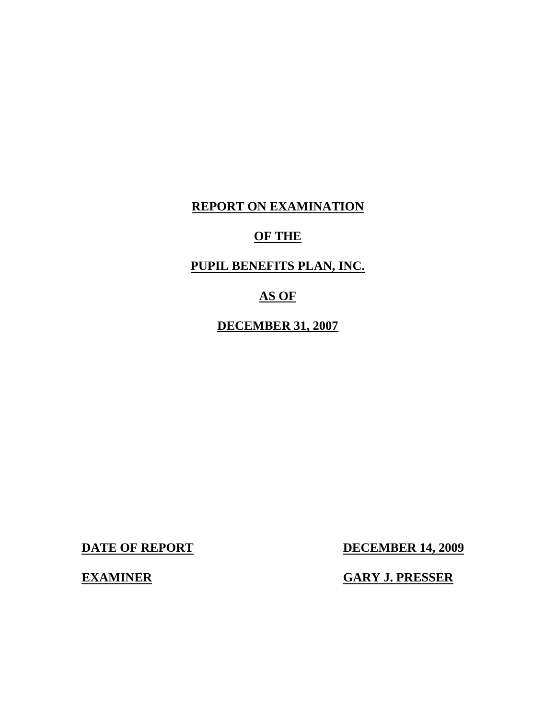# **REPORT ON EXAMINATION**

# **OF THE**

# **PUPIL BENEFITS PLAN, INC.**

# **AS OF**

**DECEMBER 31, 2007** 

**DATE OF REPORT DECEMBER 14, 2009** 

# **EXAMINER GARY J. PRESSER**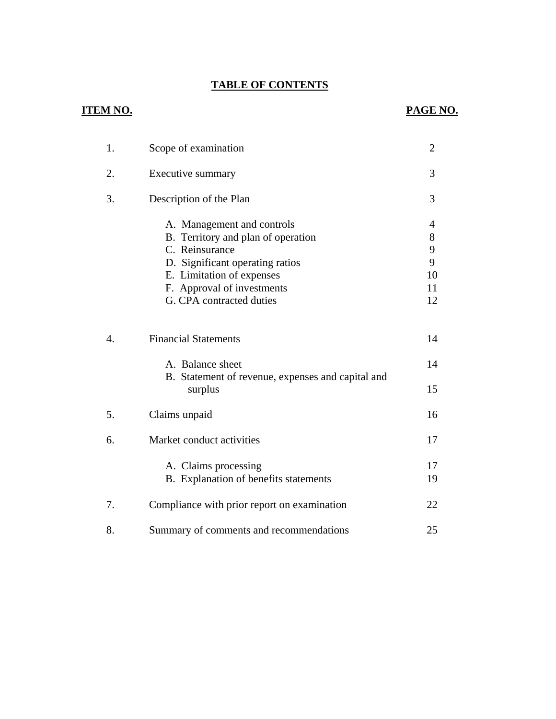# **TABLE OF CONTENTS** TABLE OF CONTENTS<br>ITEM NO. **PAGE NO.**

# **ITEM NO.**

| 1. | Scope of examination                                                                                                                                                                                         | $\overline{2}$                     |
|----|--------------------------------------------------------------------------------------------------------------------------------------------------------------------------------------------------------------|------------------------------------|
| 2. | Executive summary                                                                                                                                                                                            | 3                                  |
| 3. | Description of the Plan                                                                                                                                                                                      | 3                                  |
|    | A. Management and controls<br>B. Territory and plan of operation<br>C. Reinsurance<br>D. Significant operating ratios<br>E. Limitation of expenses<br>F. Approval of investments<br>G. CPA contracted duties | 4<br>8<br>9<br>9<br>10<br>11<br>12 |
| 4. | <b>Financial Statements</b>                                                                                                                                                                                  | 14                                 |
|    | A. Balance sheet<br>B. Statement of revenue, expenses and capital and<br>surplus                                                                                                                             | 14<br>15                           |
| 5. | Claims unpaid                                                                                                                                                                                                | 16                                 |
| 6. | Market conduct activities                                                                                                                                                                                    | 17                                 |
|    | A. Claims processing<br>B. Explanation of benefits statements                                                                                                                                                | 17<br>19                           |
| 7. | Compliance with prior report on examination                                                                                                                                                                  | 22                                 |
| 8. | Summary of comments and recommendations                                                                                                                                                                      | 25                                 |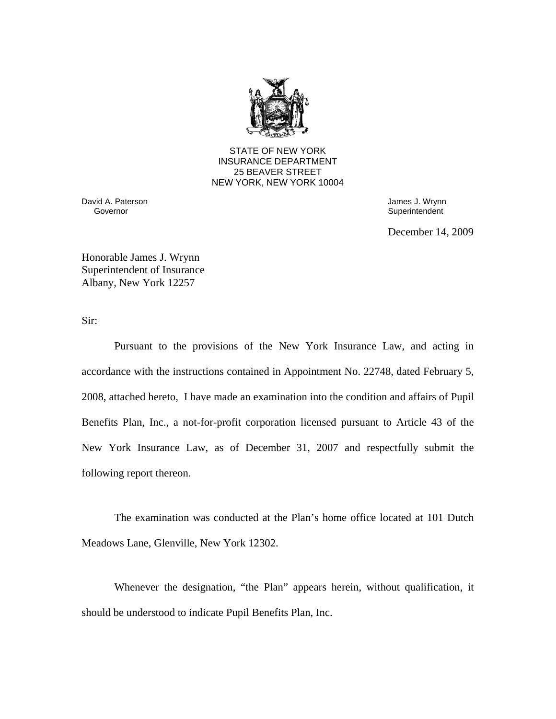

STATE OF NEW YORK INSURANCE DEPARTMENT 25 BEAVER STREET NEW YORK, NEW YORK 10004

David A. Paterson James J. Wrynn

Governor **Governor** Superintendent Superintendent Superintendent Superintendent Superintendent Superintendent Superintendent Superintendent Superintendent Superintendent Superintendent Superintendent Superintendent Superin

December 14, 2009

Honorable James J. Wrynn Superintendent of Insurance Albany, New York 12257

Sir:

Pursuant to the provisions of the New York Insurance Law, and acting in accordance with the instructions contained in Appointment No. 22748, dated February 5, 2008, attached hereto, I have made an examination into the condition and affairs of Pupil Benefits Plan, Inc., a not-for-profit corporation licensed pursuant to Article 43 of the New York Insurance Law, as of December 31, 2007 and respectfully submit the following report thereon.

The examination was conducted at the Plan's home office located at 101 Dutch Meadows Lane, Glenville, New York 12302.

Whenever the designation, "the Plan" appears herein, without qualification, it should be understood to indicate Pupil Benefits Plan, Inc.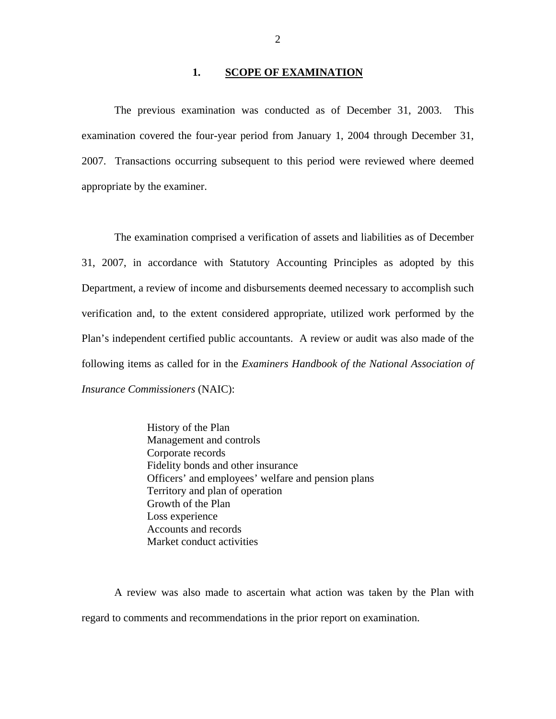#### **1. SCOPE OF EXAMINATION**

The previous examination was conducted as of December 31, 2003. This examination covered the four-year period from January 1, 2004 through December 31, 2007. Transactions occurring subsequent to this period were reviewed where deemed appropriate by the examiner.

The examination comprised a verification of assets and liabilities as of December 31, 2007, in accordance with Statutory Accounting Principles as adopted by this Department, a review of income and disbursements deemed necessary to accomplish such verification and, to the extent considered appropriate, utilized work performed by the Plan's independent certified public accountants. A review or audit was also made of the following items as called for in the *Examiners Handbook of the National Association of Insurance Commissioners* (NAIC):

> History of the Plan Management and controls Corporate records Fidelity bonds and other insurance Officers' and employees' welfare and pension plans Territory and plan of operation Growth of the Plan Loss experience Accounts and records Market conduct activities

A review was also made to ascertain what action was taken by the Plan with regard to comments and recommendations in the prior report on examination.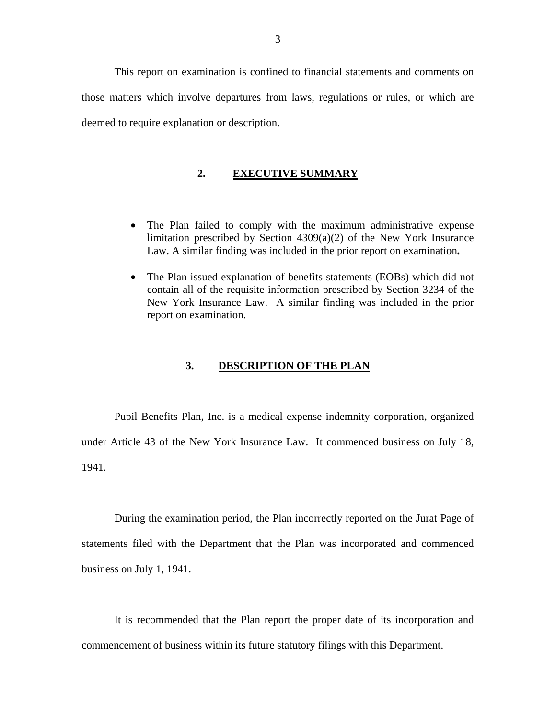<span id="page-4-0"></span>This report on examination is confined to financial statements and comments on those matters which involve departures from laws, regulations or rules, or which are deemed to require explanation or description.

#### **2. EXECUTIVE SUMMARY**

- The Plan failed to comply with the maximum administrative expense limitation prescribed by Section 4309(a)(2) of the New York Insurance Law. A similar finding was included in the prior report on examination**.**
- The Plan issued explanation of benefits statements (EOBs) which did not contain all of the requisite information prescribed by Section 3234 of the New York Insurance Law. A similar finding was included in the prior report on examination.

#### **3. DESCRIPTION OF THE PLAN**

Pupil Benefits Plan, Inc. is a medical expense indemnity corporation, organized under Article 43 of the New York Insurance Law. It commenced business on July 18, 1941.

During the examination period, the Plan incorrectly reported on the Jurat Page of statements filed with the Department that the Plan was incorporated and commenced business on July 1, 1941.

It is recommended that the Plan report the proper date of its incorporation and commencement of business within its future statutory filings with this Department.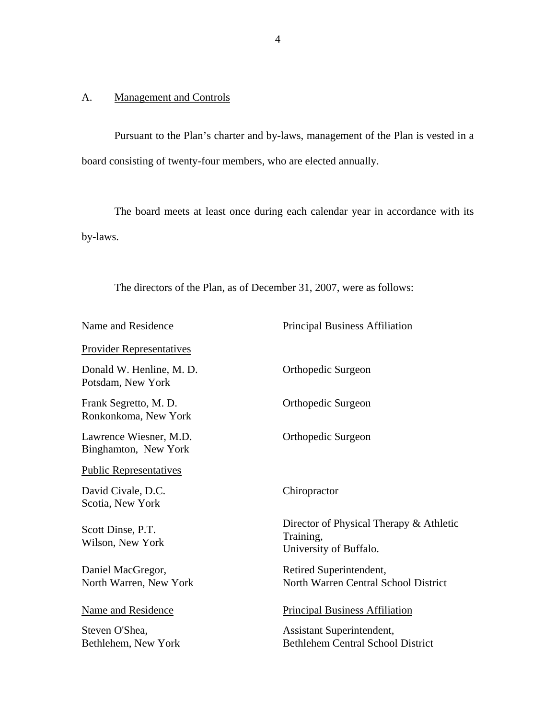# <span id="page-5-0"></span>A. Management and Controls

Pursuant to the Plan's charter and by-laws, management of the Plan is vested in a board consisting of twenty-four members, who are elected annually.

The board meets at least once during each calendar year in accordance with its by-laws.

The directors of the Plan, as of December 31, 2007, were as follows:

| Name and Residence                             | <b>Principal Business Affiliation</b>                                          |
|------------------------------------------------|--------------------------------------------------------------------------------|
| <b>Provider Representatives</b>                |                                                                                |
| Donald W. Henline, M. D.<br>Potsdam, New York  | Orthopedic Surgeon                                                             |
| Frank Segretto, M. D.<br>Ronkonkoma, New York  | Orthopedic Surgeon                                                             |
| Lawrence Wiesner, M.D.<br>Binghamton, New York | Orthopedic Surgeon                                                             |
| <b>Public Representatives</b>                  |                                                                                |
| David Civale, D.C.<br>Scotia, New York         | Chiropractor                                                                   |
| Scott Dinse, P.T.<br>Wilson, New York          | Director of Physical Therapy & Athletic<br>Training,<br>University of Buffalo. |
| Daniel MacGregor,<br>North Warren, New York    | Retired Superintendent,<br>North Warren Central School District                |
| Name and Residence                             | <b>Principal Business Affiliation</b>                                          |
| Steven O'Shea,<br>Bethlehem, New York          | Assistant Superintendent,<br><b>Bethlehem Central School District</b>          |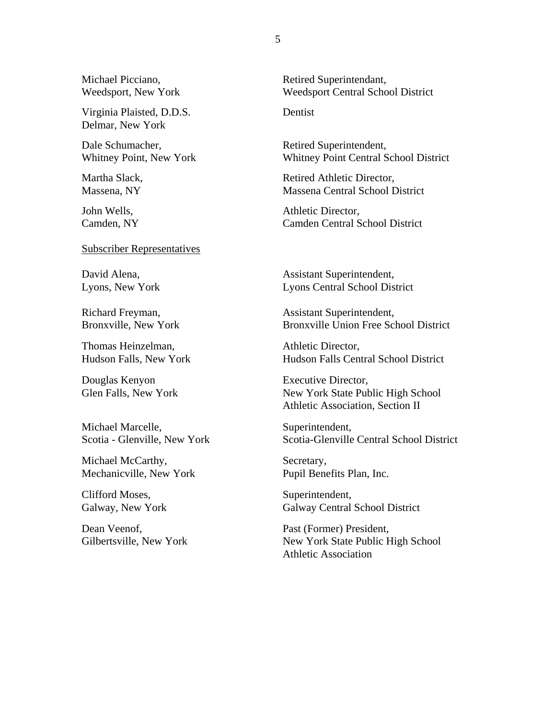Michael Picciano, Retired Superintendant,

Virginia Plaisted, D.D.S. Dentist Delmar, New York

Dale Schumacher, Retired Superintendent,

Subscriber Representatives

Thomas Heinzelman, and a settlement of the Athletic Director,

Douglas Kenyon Executive Director,

Michael Marcelle, Superintendent,

Michael McCarthy, Secretary, Mechanicville, New York Pupil Benefits Plan, Inc.

Clifford Moses, Superintendent,

Weedsport, New York Weedsport Central School District

Whitney Point, New York Whitney Point Central School District

Martha Slack, Retired Athletic Director, Massena, NY Massena Central School District

John Wells,  $\qquad \qquad$  Athletic Director, Camden, NY Camden Central School District

David Alena, and a settlement of the Assistant Superintendent, Lyons, New York Lyons Central School District

Richard Freyman, Assistant Superintendent, Bronxville, New York Bronxville Union Free School District

Hudson Falls, New York Hudson Falls Central School District

Glen Falls, New York **New York State Public High School** Athletic Association, Section II

Scotia - Glenville, New York Scotia-Glenville Central School District

Galway, New York Galway Central School District

Dean Veenof, Past (Former) President, Gilbertsville, New York **New York State Public High School** Athletic Association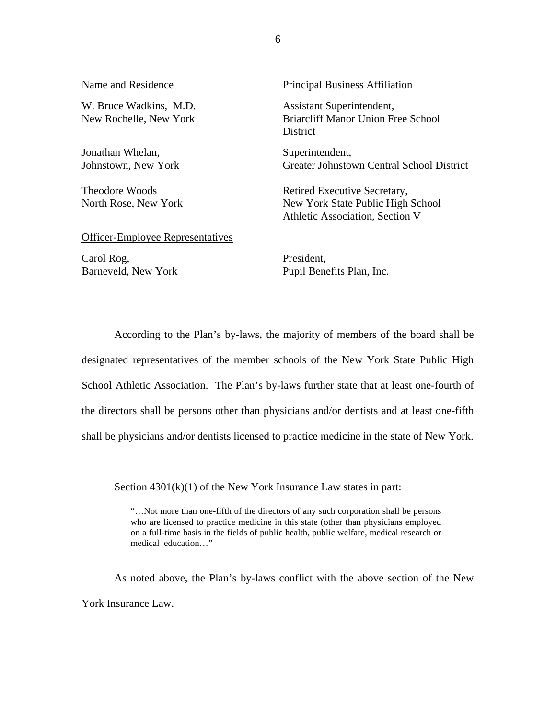| Name and Residence                               | <b>Principal Business Affiliation</b>                                                                |
|--------------------------------------------------|------------------------------------------------------------------------------------------------------|
| W. Bruce Wadkins, M.D.<br>New Rochelle, New York | Assistant Superintendent,<br><b>Briarcliff Manor Union Free School</b><br>District                   |
| Jonathan Whelan,<br>Johnstown, New York          | Superintendent,<br>Greater Johnstown Central School District                                         |
| <b>Theodore Woods</b><br>North Rose, New York    | Retired Executive Secretary,<br>New York State Public High School<br>Athletic Association, Section V |
| <b>Officer-Employee Representatives</b>          |                                                                                                      |
| Carol Rog.                                       | President.                                                                                           |

Barneveld, New York

President, Pupil Benefits Plan, Inc.

According to the Plan's by-laws, the majority of members of the board shall be designated representatives of the member schools of the New York State Public High School Athletic Association. The Plan's by-laws further state that at least one-fourth of the directors shall be persons other than physicians and/or dentists and at least one-fifth shall be physicians and/or dentists licensed to practice medicine in the state of New York.

Section  $4301(k)(1)$  of the New York Insurance Law states in part:

"…Not more than one-fifth of the directors of any such corporation shall be persons who are licensed to practice medicine in this state (other than physicians employed on a full-time basis in the fields of public health, public welfare, medical research or medical education…"

As noted above, the Plan's by-laws conflict with the above section of the New York Insurance Law.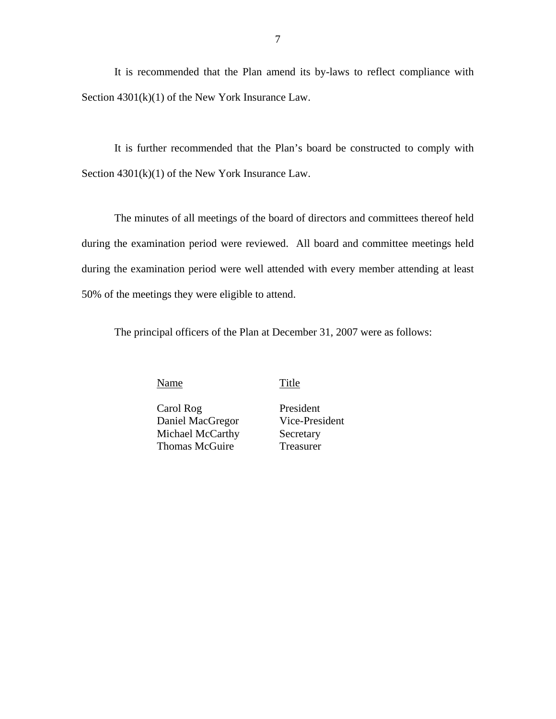It is recommended that the Plan amend its by-laws to reflect compliance with Section 4301(k)(1) of the New York Insurance Law.

It is further recommended that the Plan's board be constructed to comply with Section  $4301(k)(1)$  of the New York Insurance Law.

The minutes of all meetings of the board of directors and committees thereof held during the examination period were reviewed. All board and committee meetings held during the examination period were well attended with every member attending at least 50% of the meetings they were eligible to attend.

The principal officers of the Plan at December 31, 2007 were as follows:

Name Title

Carol Rog Daniel MacGregor Michael McCarthy Thomas McGuire

President Vice-President **Secretary** Treasurer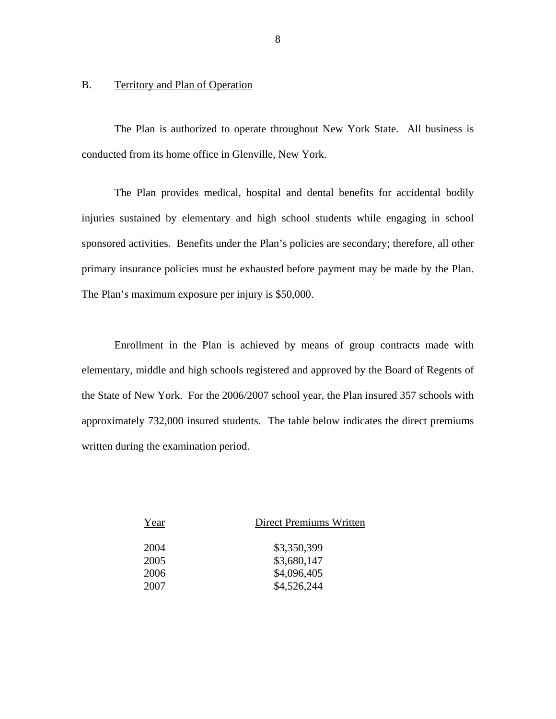#### B. Territory and Plan of Operation

The Plan is authorized to operate throughout New York State. All business is conducted from its home office in Glenville, New York.

The Plan provides medical, hospital and dental benefits for accidental bodily injuries sustained by elementary and high school students while engaging in school sponsored activities. Benefits under the Plan's policies are secondary; therefore, all other primary insurance policies must be exhausted before payment may be made by the Plan. The Plan's maximum exposure per injury is \$50,000.

Enrollment in the Plan is achieved by means of group contracts made with elementary, middle and high schools registered and approved by the Board of Regents of the State of New York. For the 2006/2007 school year, the Plan insured 357 schools with approximately 732,000 insured students. The table below indicates the direct premiums written during the examination period.

| Direct Premiums Written |
|-------------------------|
| \$3,350,399             |
| \$3,680,147             |
| \$4,096,405             |
| \$4,526,244             |
|                         |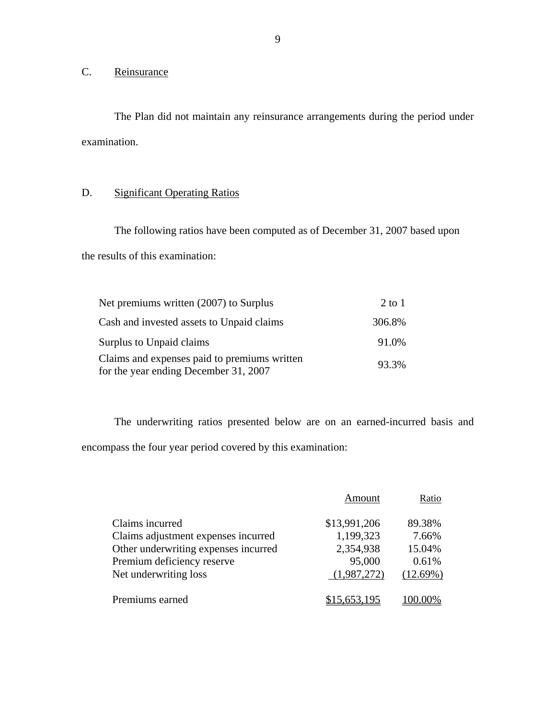# C. Reinsurance

The Plan did not maintain any reinsurance arrangements during the period under examination.

# D. Significant Operating Ratios

The following ratios have been computed as of December 31, 2007 based upon the results of this examination:

| Net premiums written (2007) to Surplus                                                | $2$ to $1$ |
|---------------------------------------------------------------------------------------|------------|
| Cash and invested assets to Unpaid claims                                             | 306.8%     |
| Surplus to Unpaid claims                                                              | 91.0%      |
| Claims and expenses paid to premiums written<br>for the year ending December 31, 2007 | 93.3%      |

The underwriting ratios presented below are on an earned-incurred basis and encompass the four year period covered by this examination:

|                                      | Amount       | Ratio    |
|--------------------------------------|--------------|----------|
| Claims incurred                      | \$13,991,206 | 89.38%   |
| Claims adjustment expenses incurred  | 1,199,323    | 7.66%    |
| Other underwriting expenses incurred | 2,354,938    | 15.04%   |
| Premium deficiency reserve           | 95,000       | 0.61%    |
| Net underwriting loss                | (1,987,272)  | (12.69%) |
| Premiums earned                      | 5.653,195    |          |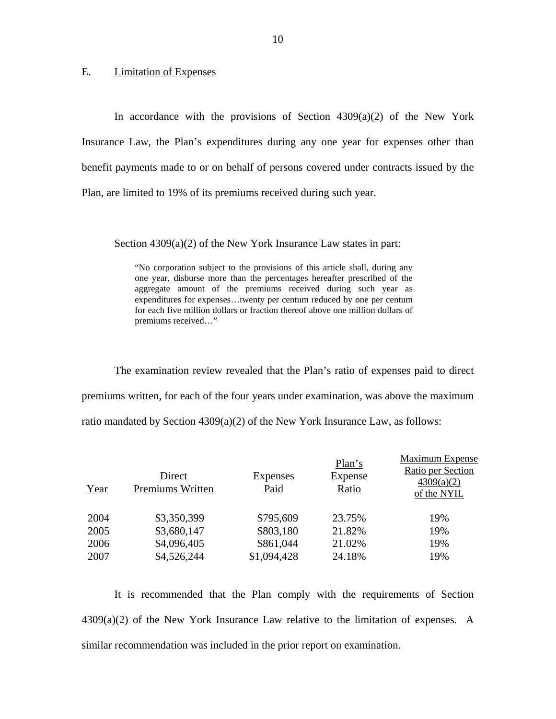#### <span id="page-11-0"></span>E. Limitation of Expenses

In accordance with the provisions of Section  $4309(a)(2)$  of the New York Insurance Law, the Plan's expenditures during any one year for expenses other than benefit payments made to or on behalf of persons covered under contracts issued by the Plan, are limited to 19% of its premiums received during such year.

Section 4309(a)(2) of the New York Insurance Law states in part:

 "No corporation subject to the provisions of this article shall, during any one year, disburse more than the percentages hereafter prescribed of the aggregate amount of the premiums received during such year as expenditures for expenses…twenty per centum reduced by one per centum for each five million dollars or fraction thereof above one million dollars of premiums received…"

The examination review revealed that the Plan's ratio of expenses paid to direct premiums written, for each of the four years under examination, was above the maximum ratio mandated by Section  $4309(a)(2)$  of the New York Insurance Law, as follows:

| Year | Direct<br>Premiums Written | <b>Expenses</b><br>Paid | Plan's<br><b>Expense</b><br>Ratio | Maximum Expense<br>Ratio per Section<br>4309(a)(2)<br>of the NYIL |
|------|----------------------------|-------------------------|-----------------------------------|-------------------------------------------------------------------|
| 2004 | \$3,350,399                | \$795,609               | 23.75%                            | 19%                                                               |
| 2005 | \$3,680,147                | \$803,180               | 21.82%                            | 19%                                                               |
| 2006 | \$4,096,405                | \$861,044               | 21.02%                            | 19%                                                               |
| 2007 | \$4,526,244                | \$1,094,428             | 24.18%                            | 19%                                                               |

It is recommended that the Plan comply with the requirements of Section  $4309(a)(2)$  of the New York Insurance Law relative to the limitation of expenses. A similar recommendation was included in the prior report on examination.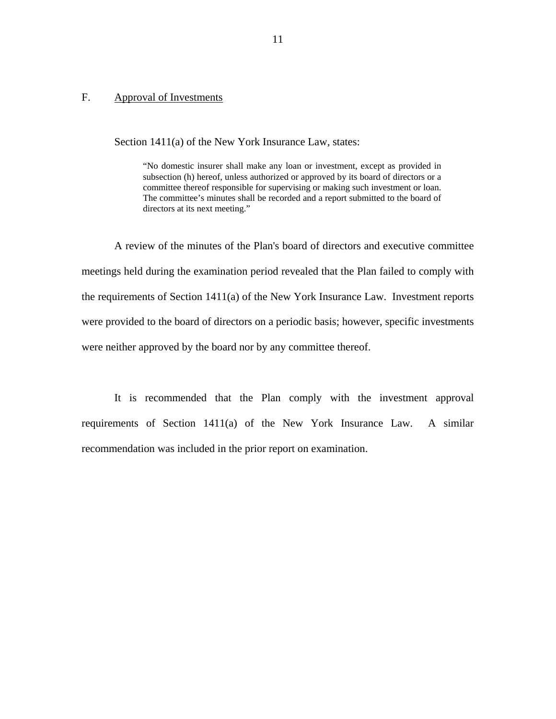#### Approval of Investments

<span id="page-12-0"></span>F. Approval of Investments<br>Section 1411(a) of the New York Insurance Law, states:

 The committee's minutes shall be recorded and a report submitted to the board of "No domestic insurer shall make any loan or investment, except as provided in subsection (h) hereof, unless authorized or approved by its board of directors or a committee thereof responsible for supervising or making such investment or loan. directors at its next meeting."

A review of the minutes of the Plan's board of directors and executive committee meetings held during the examination period revealed that the Plan failed to comply with the requirements of Section 1411(a) of the New York Insurance Law. Investment reports were provided to the board of directors on a periodic basis; however, specific investments were neither approved by the board nor by any committee thereof.

It is recommended that the Plan comply with the investment approval requirements of Section 1411(a) of the New York Insurance Law. A similar recommendation was included in the prior report on examination.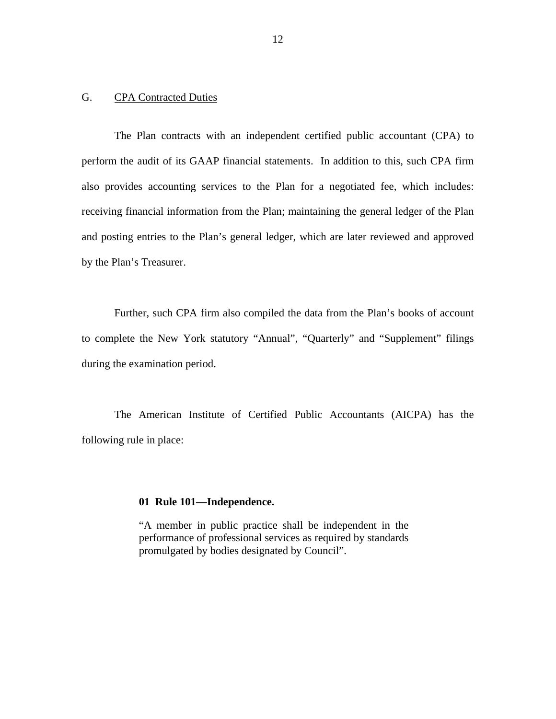### <span id="page-13-0"></span>G. CPA Contracted Duties

The Plan contracts with an independent certified public accountant (CPA) to perform the audit of its GAAP financial statements. In addition to this, such CPA firm also provides accounting services to the Plan for a negotiated fee, which includes: receiving financial information from the Plan; maintaining the general ledger of the Plan and posting entries to the Plan's general ledger, which are later reviewed and approved by the Plan's Treasurer.

Further, such CPA firm also compiled the data from the Plan's books of account to complete the New York statutory "Annual", "Quarterly" and "Supplement" filings during the examination period.

The American Institute of Certified Public Accountants (AICPA) has the following rule in place:

#### **01 Rule 101—Independence.**

"A member in public practice shall be independent in the performance of professional services as required by standards promulgated by bodies designated by Council".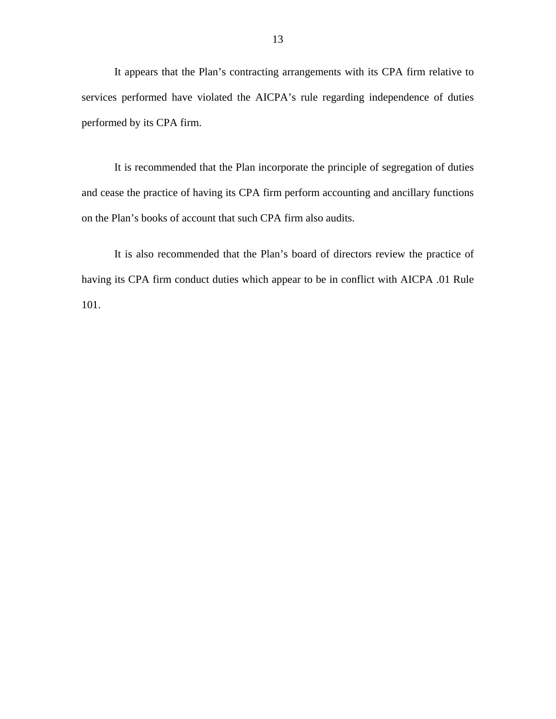It appears that the Plan's contracting arrangements with its CPA firm relative to services performed have violated the AICPA's rule regarding independence of duties performed by its CPA firm.

It is recommended that the Plan incorporate the principle of segregation of duties and cease the practice of having its CPA firm perform accounting and ancillary functions on the Plan's books of account that such CPA firm also audits.

It is also recommended that the Plan's board of directors review the practice of having its CPA firm conduct duties which appear to be in conflict with AICPA .01 Rule 101.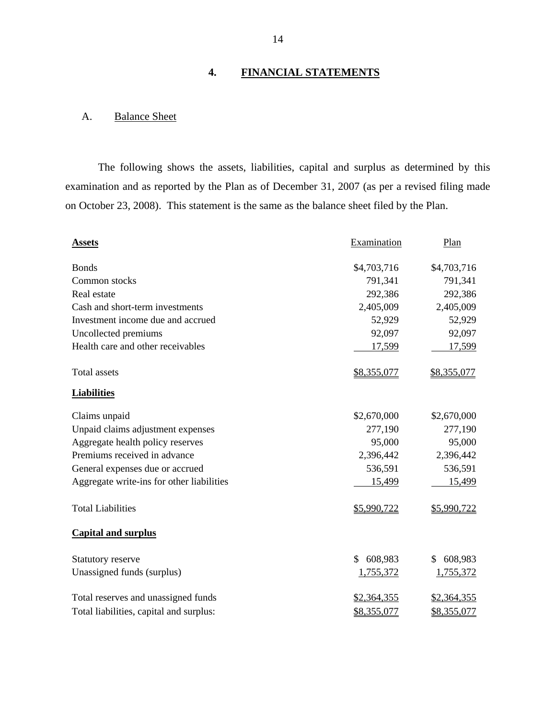# **4. FINANCIAL STATEMENTS**

# A. Balance Sheet

The following shows the assets, liabilities, capital and surplus as determined by this examination and as reported by the Plan as of December 31, 2007 (as per a revised filing made on October 23, 2008). This statement is the same as the balance sheet filed by the Plan.

| <b>Assets</b>                             | Examination   | Plan               |
|-------------------------------------------|---------------|--------------------|
| <b>Bonds</b>                              | \$4,703,716   | \$4,703,716        |
| Common stocks                             | 791,341       | 791,341            |
| Real estate                               | 292,386       | 292,386            |
| Cash and short-term investments           | 2,405,009     | 2,405,009          |
| Investment income due and accrued         | 52,929        | 52,929             |
| Uncollected premiums                      | 92,097        | 92,097             |
| Health care and other receivables         | 17,599        | 17,599             |
| <b>Total assets</b>                       | \$8,355,077   | \$8,355,077        |
| <b>Liabilities</b>                        |               |                    |
| Claims unpaid                             | \$2,670,000   | \$2,670,000        |
| Unpaid claims adjustment expenses         | 277,190       | 277,190            |
| Aggregate health policy reserves          | 95,000        | 95,000             |
| Premiums received in advance              | 2,396,442     | 2,396,442          |
| General expenses due or accrued           | 536,591       | 536,591            |
| Aggregate write-ins for other liabilities | 15,499        | 15,499             |
| <b>Total Liabilities</b>                  | \$5,990,722   | \$5,990,722        |
| <b>Capital and surplus</b>                |               |                    |
| <b>Statutory reserve</b>                  | \$<br>608,983 | \$<br>608,983      |
| Unassigned funds (surplus)                | 1,755,372     | 1,755,372          |
| Total reserves and unassigned funds       | \$2,364,355   | <u>\$2,364,355</u> |
| Total liabilities, capital and surplus:   | \$8,355,077   | \$8,355,077        |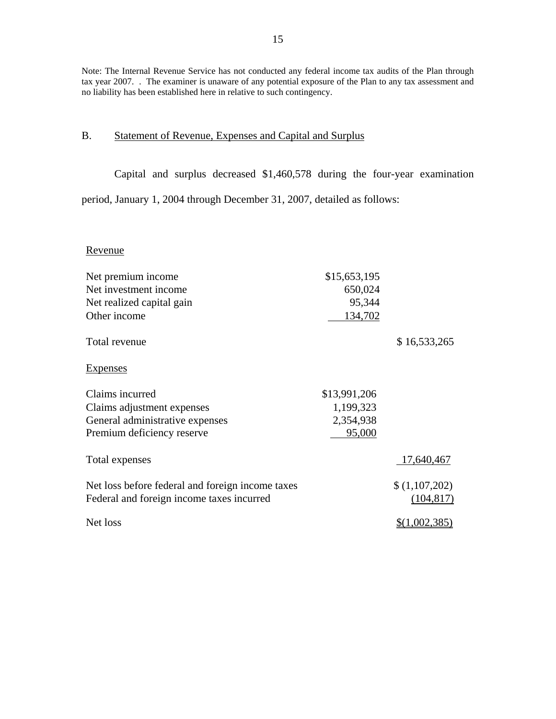Note: The Internal Revenue Service has not conducted any federal income tax audits of the Plan through tax year 2007. . The examiner is unaware of any potential exposure of the Plan to any tax assessment and no liability has been established here in relative to such contingency.

# B. Statement of Revenue, Expenses and Capital and Surplus

Capital and surplus decreased \$1,460,578 during the four-year examination

period, January 1, 2004 through December 31, 2007, detailed as follows:

#### Revenue

| Net premium income                               | \$15,653,195 |                      |
|--------------------------------------------------|--------------|----------------------|
| Net investment income                            | 650,024      |                      |
| Net realized capital gain                        | 95,344       |                      |
| Other income                                     | 134,702      |                      |
| Total revenue                                    |              | \$16,533,265         |
| <b>Expenses</b>                                  |              |                      |
| Claims incurred                                  | \$13,991,206 |                      |
| Claims adjustment expenses                       | 1,199,323    |                      |
| General administrative expenses                  | 2,354,938    |                      |
| Premium deficiency reserve                       | 95,000       |                      |
| Total expenses                                   |              | 17,640,467           |
| Net loss before federal and foreign income taxes |              | \$(1,107,202)        |
| Federal and foreign income taxes incurred        |              | (104, 817)           |
| Net loss                                         |              | <u>\$(1,002,385)</u> |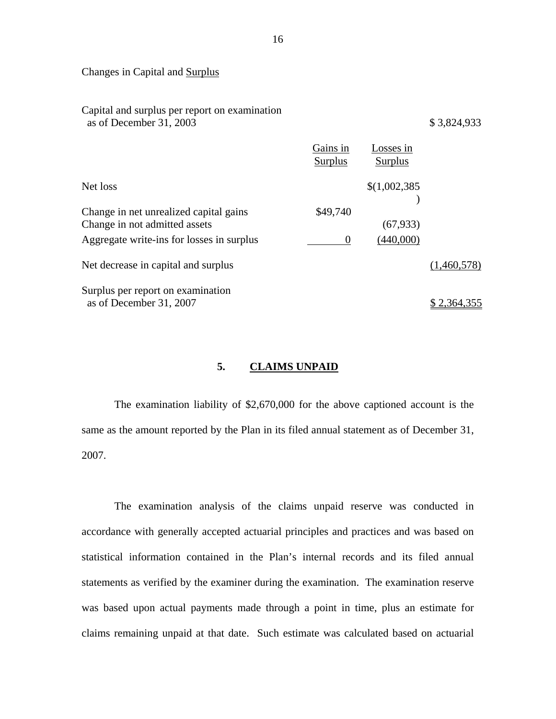Changes in Capital and Surplus

| Capital and surplus per report on examination<br>as of December 31, 2003 |                     |                      | \$3,824,933 |
|--------------------------------------------------------------------------|---------------------|----------------------|-------------|
|                                                                          | Gains in<br>Surplus | Losses in<br>Surplus |             |
| Net loss                                                                 |                     | \$(1,002,385)        |             |
| Change in net unrealized capital gains<br>Change in not admitted assets  | \$49,740            | (67, 933)            |             |
| Aggregate write-ins for losses in surplus                                | 0                   | (440,000)            |             |
| Net decrease in capital and surplus                                      |                     |                      | (1,460,578) |
| Surplus per report on examination<br>as of December 31, 2007             |                     |                      |             |

# **5. CLAIMS UNPAID**

The examination liability of \$2,670,000 for the above captioned account is the same as the amount reported by the Plan in its filed annual statement as of December 31, 2007.

The examination analysis of the claims unpaid reserve was conducted in accordance with generally accepted actuarial principles and practices and was based on statistical information contained in the Plan's internal records and its filed annual statements as verified by the examiner during the examination. The examination reserve was based upon actual payments made through a point in time, plus an estimate for claims remaining unpaid at that date. Such estimate was calculated based on actuarial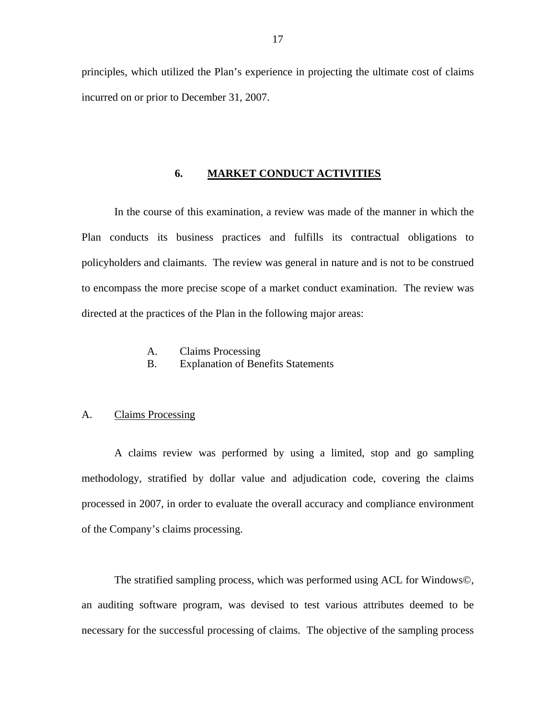<span id="page-18-0"></span>principles, which utilized the Plan's experience in projecting the ultimate cost of claims incurred on or prior to December 31, 2007.

#### **6. MARKET CONDUCT ACTIVITIES**

In the course of this examination, a review was made of the manner in which the Plan conducts its business practices and fulfills its contractual obligations to policyholders and claimants. The review was general in nature and is not to be construed to encompass the more precise scope of a market conduct examination. The review was directed at the practices of the Plan in the following major areas:

### A. Claims Processing

B. Explanation of Benefits Statements

#### A. Claims Processing

A claims review was performed by using a limited, stop and go sampling methodology, stratified by dollar value and adjudication code, covering the claims processed in 2007, in order to evaluate the overall accuracy and compliance environment of the Company's claims processing.

The stratified sampling process, which was performed using ACL for Windows©, an auditing software program, was devised to test various attributes deemed to be necessary for the successful processing of claims. The objective of the sampling process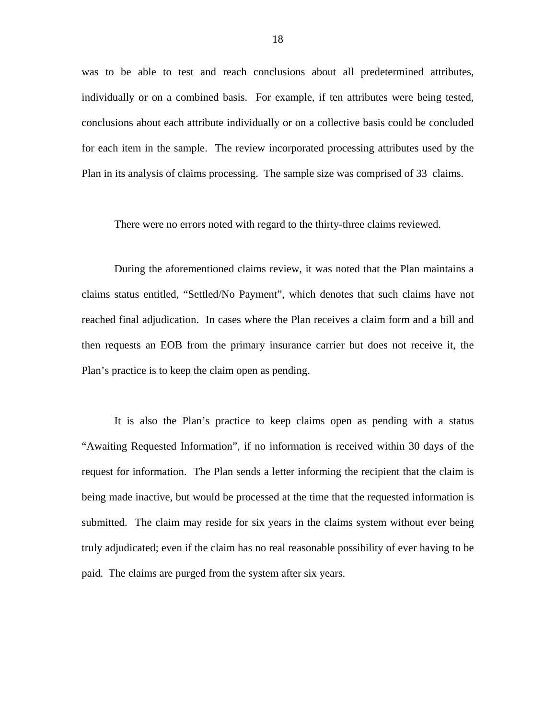was to be able to test and reach conclusions about all predetermined attributes, individually or on a combined basis. For example, if ten attributes were being tested, conclusions about each attribute individually or on a collective basis could be concluded for each item in the sample. The review incorporated processing attributes used by the Plan in its analysis of claims processing. The sample size was comprised of 33 claims.

There were no errors noted with regard to the thirty-three claims reviewed.

During the aforementioned claims review, it was noted that the Plan maintains a claims status entitled, "Settled/No Payment", which denotes that such claims have not reached final adjudication. In cases where the Plan receives a claim form and a bill and then requests an EOB from the primary insurance carrier but does not receive it, the Plan's practice is to keep the claim open as pending.

It is also the Plan's practice to keep claims open as pending with a status "Awaiting Requested Information", if no information is received within 30 days of the request for information. The Plan sends a letter informing the recipient that the claim is being made inactive, but would be processed at the time that the requested information is submitted. The claim may reside for six years in the claims system without ever being truly adjudicated; even if the claim has no real reasonable possibility of ever having to be paid. The claims are purged from the system after six years.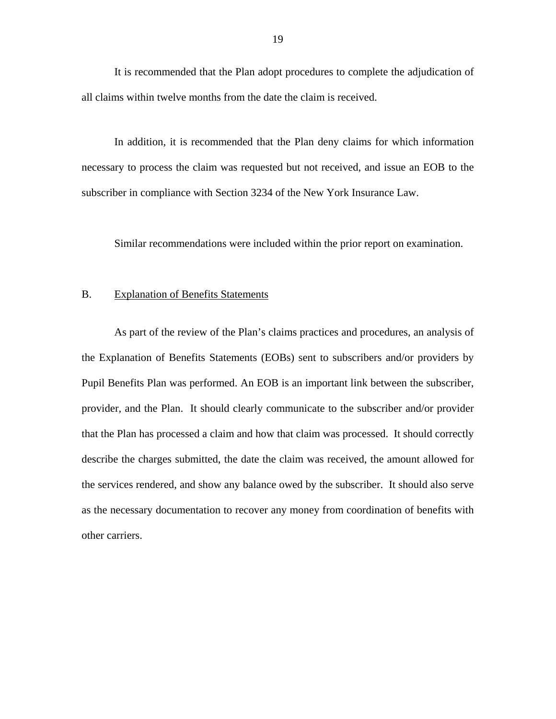<span id="page-20-0"></span>It is recommended that the Plan adopt procedures to complete the adjudication of all claims within twelve months from the date the claim is received.

In addition, it is recommended that the Plan deny claims for which information necessary to process the claim was requested but not received, and issue an EOB to the subscriber in compliance with Section 3234 of the New York Insurance Law.

Similar recommendations were included within the prior report on examination.

#### B. Explanation of Benefits Statements

As part of the review of the Plan's claims practices and procedures, an analysis of the Explanation of Benefits Statements (EOBs) sent to subscribers and/or providers by Pupil Benefits Plan was performed. An EOB is an important link between the subscriber, provider, and the Plan. It should clearly communicate to the subscriber and/or provider that the Plan has processed a claim and how that claim was processed. It should correctly describe the charges submitted, the date the claim was received, the amount allowed for the services rendered, and show any balance owed by the subscriber. It should also serve as the necessary documentation to recover any money from coordination of benefits with other carriers.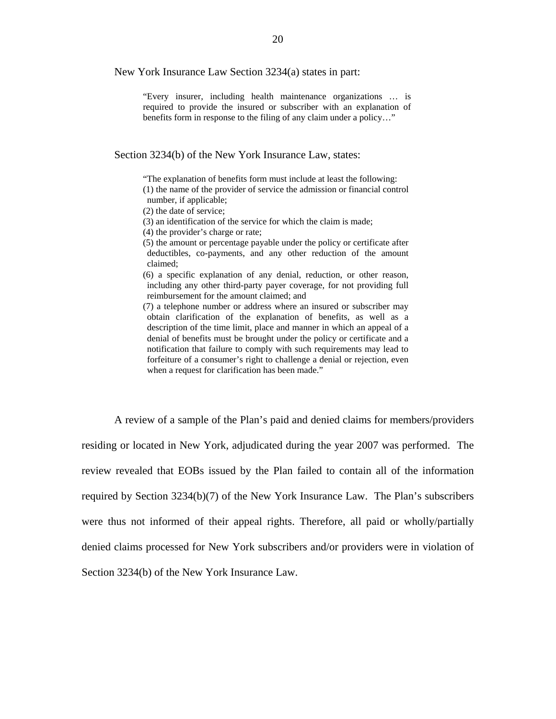New York Insurance Law Section 3234(a) states in part:

"Every insurer, including health maintenance organizations … is required to provide the insured or subscriber with an explanation of benefits form in response to the filing of any claim under a policy…"

Section 3234(b) of the New York Insurance Law, states:

"The explanation of benefits form must include at least the following:

(1) the name of the provider of service the admission or financial control number, if applicable;

(2) the date of service;

(3) an identification of the service for which the claim is made;

(4) the provider's charge or rate;

(5) the amount or percentage payable under the policy or certificate after deductibles, co-payments, and any other reduction of the amount claimed;

(6) a specific explanation of any denial, reduction, or other reason, including any other third-party payer coverage, for not providing full reimbursement for the amount claimed; and

 notification that failure to comply with such requirements may lead to (7) a telephone number or address where an insured or subscriber may obtain clarification of the explanation of benefits, as well as a description of the time limit, place and manner in which an appeal of a denial of benefits must be brought under the policy or certificate and a forfeiture of a consumer's right to challenge a denial or rejection, even when a request for clarification has been made."

A review of a sample of the Plan's paid and denied claims for members/providers residing or located in New York, adjudicated during the year 2007 was performed. The review revealed that EOBs issued by the Plan failed to contain all of the information required by Section 3234(b)(7) of the New York Insurance Law. The Plan's subscribers were thus not informed of their appeal rights. Therefore, all paid or wholly/partially denied claims processed for New York subscribers and/or providers were in violation of Section 3234(b) of the New York Insurance Law.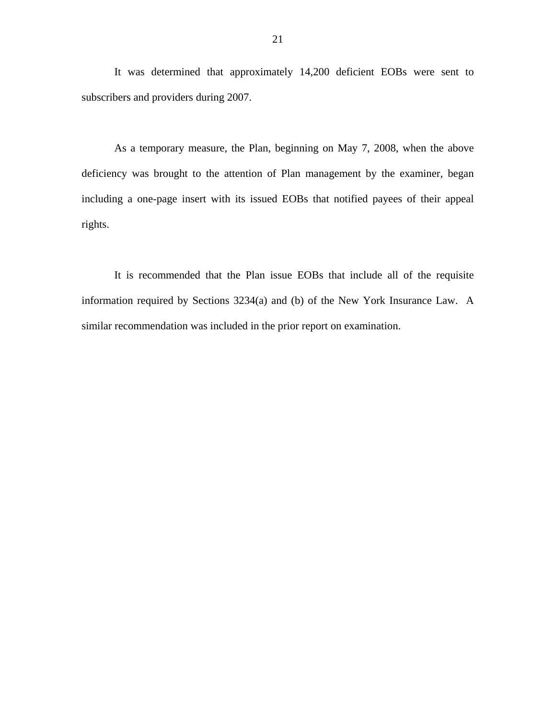It was determined that approximately 14,200 deficient EOBs were sent to subscribers and providers during 2007.

As a temporary measure, the Plan, beginning on May 7, 2008, when the above deficiency was brought to the attention of Plan management by the examiner, began including a one-page insert with its issued EOBs that notified payees of their appeal rights.

It is recommended that the Plan issue EOBs that include all of the requisite information required by Sections 3234(a) and (b) of the New York Insurance Law. A similar recommendation was included in the prior report on examination.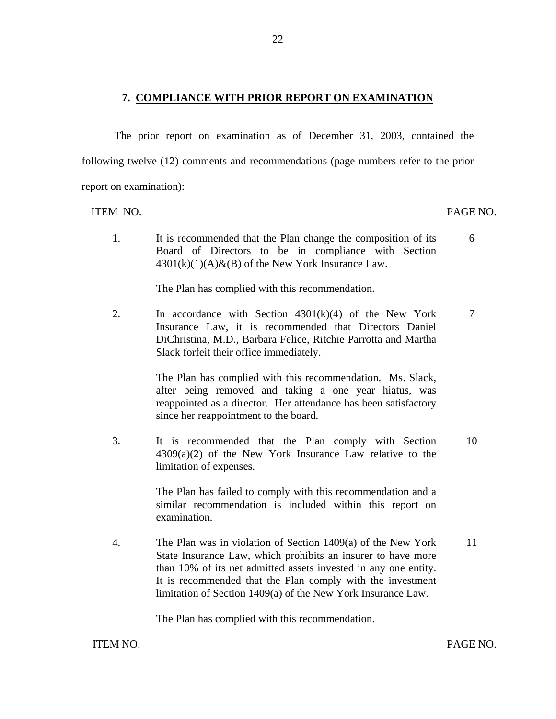#### <span id="page-23-0"></span>**7. COMPLIANCE WITH PRIOR REPORT ON EXAMINATION**

The prior report on examination as of December 31, 2003, contained the following twelve (12) comments and recommendations (page numbers refer to the prior report on examination):

#### ITEM NO.

#### PAGE NO.

1. It is recommended that the Plan change the composition of its 6 Board of Directors to be in compliance with Section  $4301(k)(1)(A)$ &(B) of the New York Insurance Law.

The Plan has complied with this recommendation.

2. In accordance with Section  $4301(k)(4)$  of the New York  $7$ Insurance Law, it is recommended that Directors Daniel DiChristina, M.D., Barbara Felice, Ritchie Parrotta and Martha Slack forfeit their office immediately.

> The Plan has complied with this recommendation. Ms. Slack, after being removed and taking a one year hiatus, was reappointed as a director. Her attendance has been satisfactory since her reappointment to the board.

3. It is recommended that the Plan comply with Section 10 4309(a)(2) of the New York Insurance Law relative to the limitation of expenses.

> The Plan has failed to comply with this recommendation and a similar recommendation is included within this report on examination.

4. The Plan was in violation of Section 1409(a) of the New York 11 State Insurance Law, which prohibits an insurer to have more than 10% of its net admitted assets invested in any one entity. It is recommended that the Plan comply with the investment limitation of Section 1409(a) of the New York Insurance Law.

The Plan has complied with this recommendation.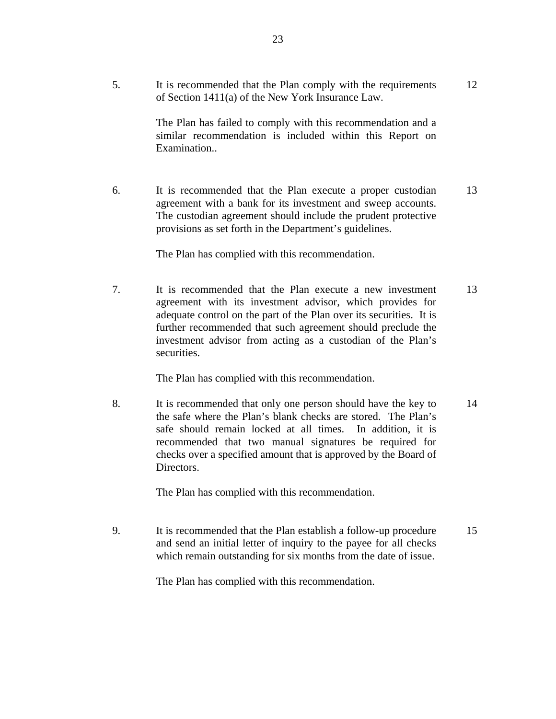12

The Plan has failed to comply with this recommendation and a similar recommendation is included within this Report on Examination..

6. It is recommended that the Plan execute a proper custodian agreement with a bank for its investment and sweep accounts. The custodian agreement should include the prudent protective provisions as set forth in the Department's guidelines. 13

The Plan has complied with this recommendation.

7. It is recommended that the Plan execute a new investment agreement with its investment advisor, which provides for adequate control on the part of the Plan over its securities. It is further recommended that such agreement should preclude the investment advisor from acting as a custodian of the Plan's securities. 13

The Plan has complied with this recommendation.

8. It is recommended that only one person should have the key to the safe where the Plan's blank checks are stored. The Plan's safe should remain locked at all times. In addition, it is recommended that two manual signatures be required for checks over a specified amount that is approved by the Board of Directors. 14

The Plan has complied with this recommendation.

9. It is recommended that the Plan establish a follow-up procedure and send an initial letter of inquiry to the payee for all checks which remain outstanding for six months from the date of issue. 15

The Plan has complied with this recommendation.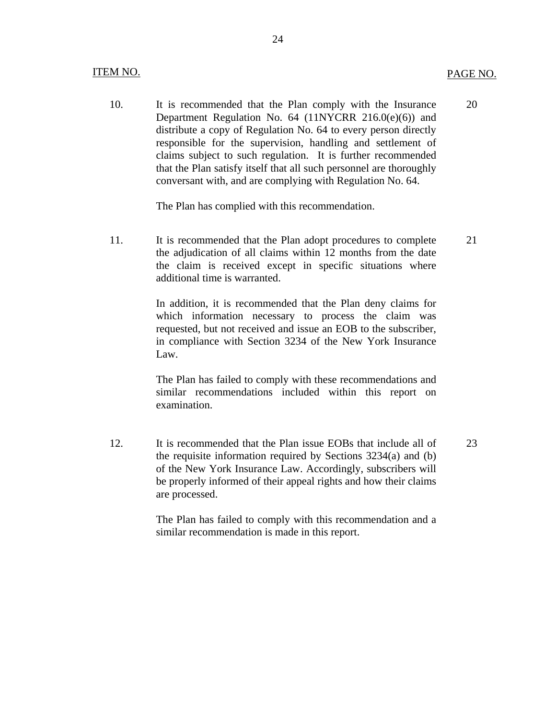#### **ITEM NO.** ITEM NO. PAGE NO.

10. It is recommended that the Plan comply with the Insurance Department Regulation No. 64 (11NYCRR 216.0(e)(6)) and distribute a copy of Regulation No. 64 to every person directly responsible for the supervision, handling and settlement of claims subject to such regulation. It is further recommended that the Plan satisfy itself that all such personnel are thoroughly conversant with, and are complying with Regulation No. 64. 20

The Plan has complied with this recommendation.

11. It is recommended that the Plan adopt procedures to complete the adjudication of all claims within 12 months from the date the claim is received except in specific situations where additional time is warranted. 21

> In addition, it is recommended that the Plan deny claims for which information necessary to process the claim was requested, but not received and issue an EOB to the subscriber, in compliance with Section 3234 of the New York Insurance Law.

> The Plan has failed to comply with these recommendations and similar recommendations included within this report on examination.

12. It is recommended that the Plan issue EOBs that include all of the requisite information required by Sections 3234(a) and (b) of the New York Insurance Law. Accordingly, subscribers will be properly informed of their appeal rights and how their claims are processed. 23

> The Plan has failed to comply with this recommendation and a similar recommendation is made in this report.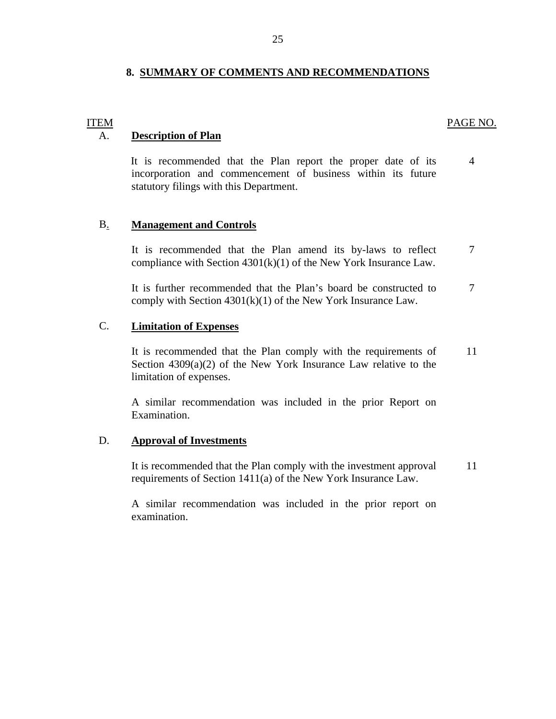#### **8. SUMMARY OF COMMENTS AND RECOMMENDATIONS**

#### PAGE NO.

#### A. **Description of Plan**

**ITEM** 

It is recommended that the Plan report the proper date of its incorporation and commencement of business within its future statutory filings with this Department. 4

#### B. **Management and Controls**

It is recommended that the Plan amend its by-laws to reflect compliance with Section 4301(k)(1) of the New York Insurance Law. 7

It is further recommended that the Plan's board be constructed to comply with Section  $4301(k)(1)$  of the New York Insurance Law. 7

## C. **Limitation of Expenses**

It is recommended that the Plan comply with the requirements of Section 4309(a)(2) of the New York Insurance Law relative to the limitation of expenses. 11

A similar recommendation was included in the prior Report on Examination.

#### D. **Approval of Investments**

It is recommended that the Plan comply with the investment approval requirements of Section 1411(a) of the New York Insurance Law. 11

A similar recommendation was included in the prior report on examination.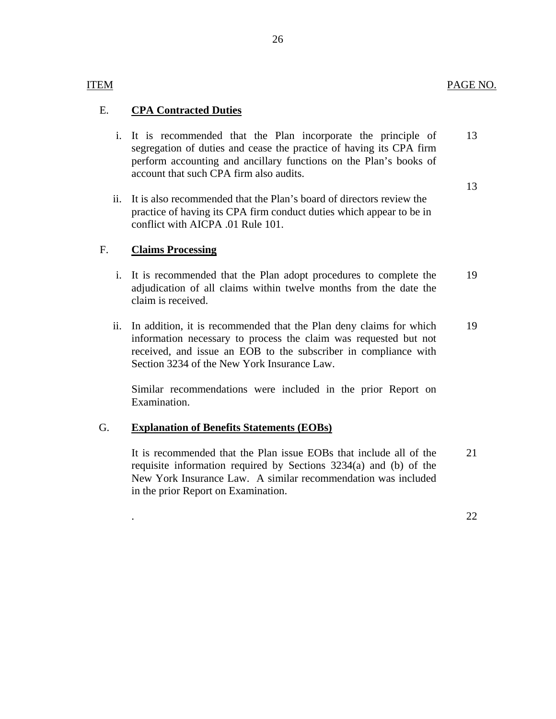# **ITEM**

# E. **CPA Contracted Duties**

- i. It is recommended that the Plan incorporate the principle of segregation of duties and cease the practice of having its CPA firm perform accounting and ancillary functions on the Plan's books of account that such CPA firm also audits. 13
	- 13
- ii. It is also recommended that the Plan's board of directors review the practice of having its CPA firm conduct duties which appear to be in conflict with AICPA .01 Rule 101.

# F. **Claims Processing**

- i. It is recommended that the Plan adopt procedures to complete the adjudication of all claims within twelve months from the date the claim is received. 19
- ii. In addition, it is recommended that the Plan deny claims for which information necessary to process the claim was requested but not received, and issue an EOB to the subscriber in compliance with Section 3234 of the New York Insurance Law. 19

Similar recommendations were included in the prior Report on Examination.

# G. **Explanation of Benefits Statements (EOBs)**

It is recommended that the Plan issue EOBs that include all of the requisite information required by Sections 3234(a) and (b) of the New York Insurance Law. A similar recommendation was included in the prior Report on Examination. 21